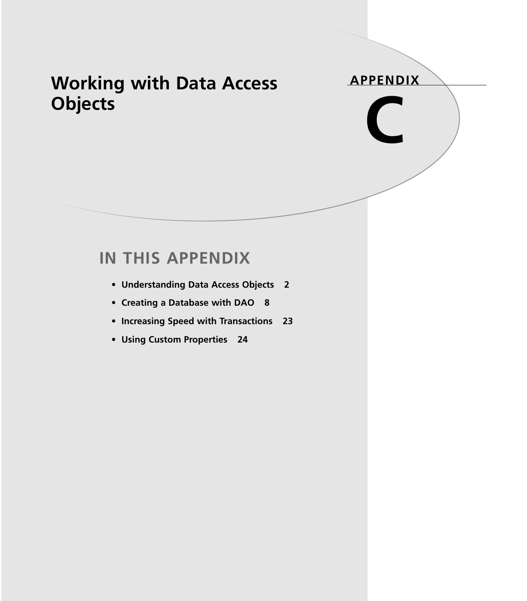# **Working with Data Access Objects**

# **APPENDIX C**

# **IN THIS APPENDIX**

- **Understanding Data Access Objects 2**
- **Creating a Database with DAO 8**
- **Increasing Speed with Transactions 23**
- **Using Custom Properties 24**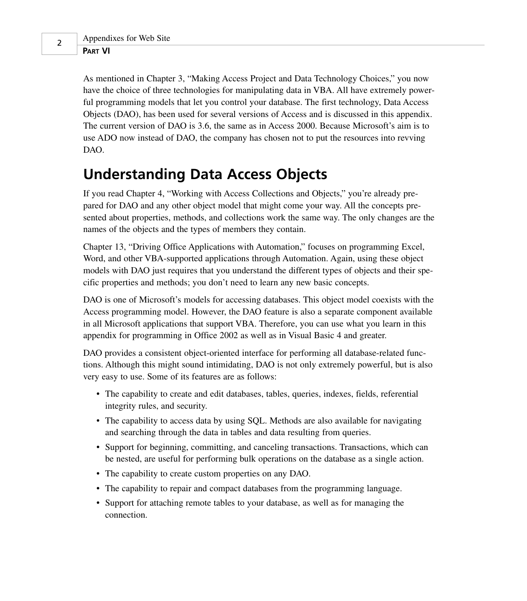As mentioned in Chapter 3, "Making Access Project and Data Technology Choices," you now have the choice of three technologies for manipulating data in VBA. All have extremely powerful programming models that let you control your database. The first technology, Data Access Objects (DAO), has been used for several versions of Access and is discussed in this appendix. The current version of DAO is 3.6, the same as in Access 2000. Because Microsoft's aim is to use ADO now instead of DAO, the company has chosen not to put the resources into revving DAO.

# **Understanding Data Access Objects**

If you read Chapter 4, "Working with Access Collections and Objects," you're already prepared for DAO and any other object model that might come your way. All the concepts presented about properties, methods, and collections work the same way. The only changes are the names of the objects and the types of members they contain.

Chapter 13, "Driving Office Applications with Automation," focuses on programming Excel, Word, and other VBA-supported applications through Automation. Again, using these object models with DAO just requires that you understand the different types of objects and their specific properties and methods; you don't need to learn any new basic concepts.

DAO is one of Microsoft's models for accessing databases. This object model coexists with the Access programming model. However, the DAO feature is also a separate component available in all Microsoft applications that support VBA. Therefore, you can use what you learn in this appendix for programming in Office 2002 as well as in Visual Basic 4 and greater.

DAO provides a consistent object-oriented interface for performing all database-related functions. Although this might sound intimidating, DAO is not only extremely powerful, but is also very easy to use. Some of its features are as follows:

- The capability to create and edit databases, tables, queries, indexes, fields, referential integrity rules, and security.
- The capability to access data by using SQL. Methods are also available for navigating and searching through the data in tables and data resulting from queries.
- Support for beginning, committing, and canceling transactions. Transactions, which can be nested, are useful for performing bulk operations on the database as a single action.
- The capability to create custom properties on any DAO.
- The capability to repair and compact databases from the programming language.
- Support for attaching remote tables to your database, as well as for managing the connection.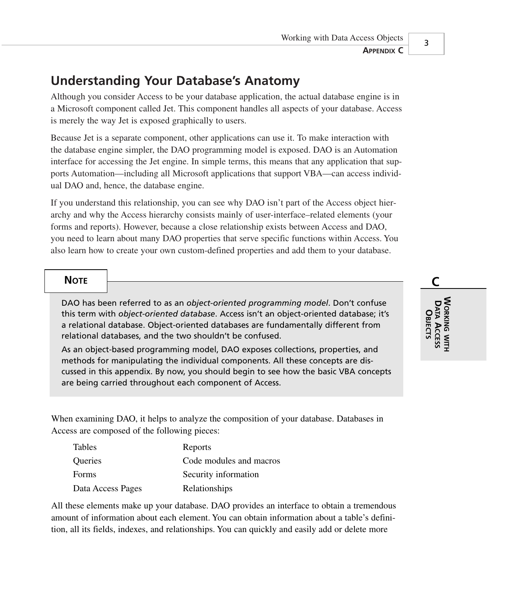## **Understanding Your Database's Anatomy**

Although you consider Access to be your database application, the actual database engine is in a Microsoft component called Jet. This component handles all aspects of your database. Access is merely the way Jet is exposed graphically to users.

Because Jet is a separate component, other applications can use it. To make interaction with the database engine simpler, the DAO programming model is exposed. DAO is an Automation interface for accessing the Jet engine. In simple terms, this means that any application that supports Automation—including all Microsoft applications that support VBA—can access individual DAO and, hence, the database engine.

If you understand this relationship, you can see why DAO isn't part of the Access object hierarchy and why the Access hierarchy consists mainly of user-interface–related elements (your forms and reports). However, because a close relationship exists between Access and DAO, you need to learn about many DAO properties that serve specific functions within Access. You also learn how to create your own custom-defined properties and add them to your database.

#### **NOTE**

DAO has been referred to as an *object-oriented programming model*. Don't confuse this term with *object-oriented database*. Access isn't an object-oriented database; it's a relational database. Object-oriented databases are fundamentally different from relational databases, and the two shouldn't be confused.

As an object-based programming model, DAO exposes collections, properties, and methods for manipulating the individual components. All these concepts are discussed in this appendix. By now, you should begin to see how the basic VBA concepts are being carried throughout each component of Access.

When examining DAO, it helps to analyze the composition of your database. Databases in Access are composed of the following pieces:

| Tables            | Reports                 |
|-------------------|-------------------------|
| <b>Oueries</b>    | Code modules and macros |
| Forms             | Security information    |
| Data Access Pages | Relationships           |

All these elements make up your database. DAO provides an interface to obtain a tremendous amount of information about each element. You can obtain information about a table's definition, all its fields, indexes, and relationships. You can quickly and easily add or delete more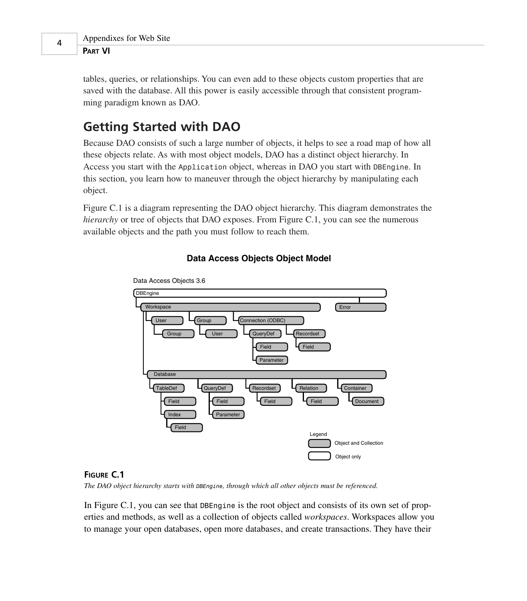tables, queries, or relationships. You can even add to these objects custom properties that are saved with the database. All this power is easily accessible through that consistent programming paradigm known as DAO.

# **Getting Started with DAO**

Because DAO consists of such a large number of objects, it helps to see a road map of how all these objects relate. As with most object models, DAO has a distinct object hierarchy. In Access you start with the *Application* object, whereas in DAO you start with *DBEngine*. In this section, you learn how to maneuver through the object hierarchy by manipulating each object.

Figure C.1 is a diagram representing the DAO object hierarchy. This diagram demonstrates the *hierarchy* or tree of objects that DAO exposes. From Figure C.1, you can see the numerous available objects and the path you must follow to reach them.



**Data Access Objects Object Model**

#### **FIGURE C.1**

*The DAO object hierarchy starts with DBEngine, through which all other objects must be referenced.*

In Figure C.1, you can see that *DBEngine* is the root object and consists of its own set of properties and methods, as well as a collection of objects called *workspaces*. Workspaces allow you to manage your open databases, open more databases, and create transactions. They have their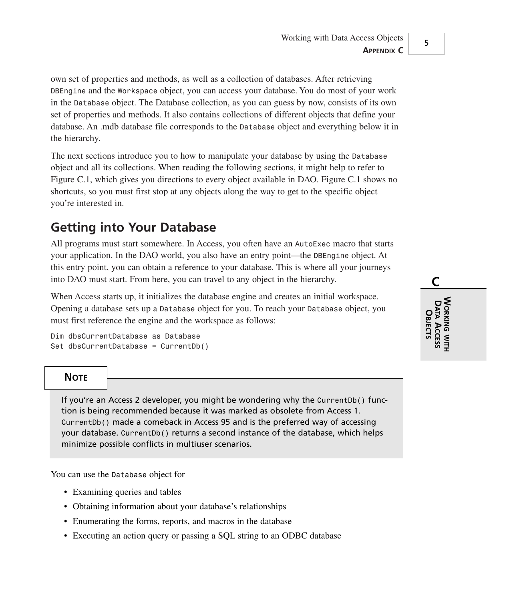5

**C**

**DATA**

**ACCESS OBJECTS**

**WORKING**

**MITH** 

own set of properties and methods, as well as a collection of databases. After retrieving *DBEngine* and the *Workspace* object, you can access your database. You do most of your work in the *Database* object. The Database collection, as you can guess by now, consists of its own set of properties and methods. It also contains collections of different objects that define your database. An .mdb database file corresponds to the *Database* object and everything below it in the hierarchy.

The next sections introduce you to how to manipulate your database by using the *Database* object and all its collections. When reading the following sections, it might help to refer to Figure C.1, which gives you directions to every object available in DAO. Figure C.1 shows no shortcuts, so you must first stop at any objects along the way to get to the specific object you're interested in.

## **Getting into Your Database**

All programs must start somewhere. In Access, you often have an *AutoExec* macro that starts your application. In the DAO world, you also have an entry point—the *DBEngine* object. At this entry point, you can obtain a reference to your database. This is where all your journeys into DAO must start. From here, you can travel to any object in the hierarchy.

When Access starts up, it initializes the database engine and creates an initial workspace. Opening a database sets up a *Database* object for you. To reach your *Database* object, you must first reference the engine and the workspace as follows:

```
Dim dbsCurrentDatabase as Database
Set dbsCurrentDatabase = CurrentDb()
```
## **NOTE**

If you're an Access 2 developer, you might be wondering why the *CurrentDb()* function is being recommended because it was marked as obsolete from Access 1. *CurrentDb()* made a comeback in Access 95 and is the preferred way of accessing your database. *CurrentDb()* returns a second instance of the database, which helps minimize possible conflicts in multiuser scenarios.

You can use the *Database* object for

- Examining queries and tables
- Obtaining information about your database's relationships
- Enumerating the forms, reports, and macros in the database
- Executing an action query or passing a SQL string to an ODBC database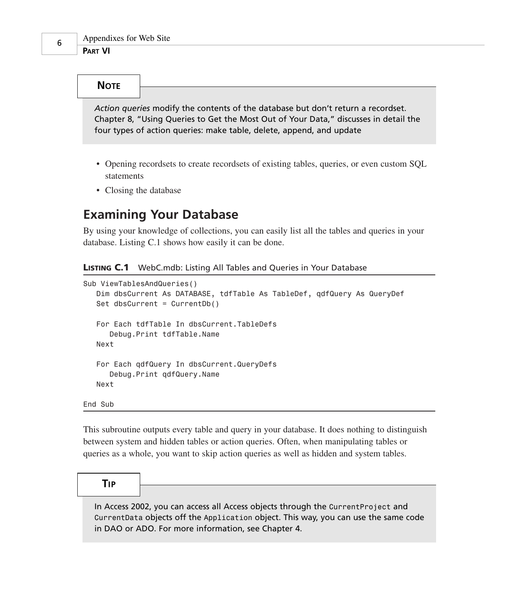*Action queries* modify the contents of the database but don't return a recordset. Chapter 8, "Using Queries to Get the Most Out of Your Data," discusses in detail the four types of action queries: make table, delete, append, and update

- Opening recordsets to create recordsets of existing tables, queries, or even custom SQL statements
- Closing the database

## **Examining Your Database**

By using your knowledge of collections, you can easily list all the tables and queries in your database. Listing C.1 shows how easily it can be done.

**LISTING C.1** WebC.mdb: Listing All Tables and Queries in Your Database

```
Sub ViewTablesAndQueries()
   Dim dbsCurrent As DATABASE, tdfTable As TableDef, qdfQuery As QueryDef
   Set dbsCurrent = CurrentDb()
   For Each tdfTable In dbsCurrent.TableDefs
      Debug.Print tdfTable.Name
  Next
   For Each qdfQuery In dbsCurrent.QueryDefs
      Debug.Print qdfQuery.Name
  Next
```
*End Sub*

This subroutine outputs every table and query in your database. It does nothing to distinguish between system and hidden tables or action queries. Often, when manipulating tables or queries as a whole, you want to skip action queries as well as hidden and system tables.

## **TIP**

In Access 2002, you can access all Access objects through the *CurrentProject* and *CurrentData* objects off the *Application* object. This way, you can use the same code in DAO or ADO. For more information, see Chapter 4.

6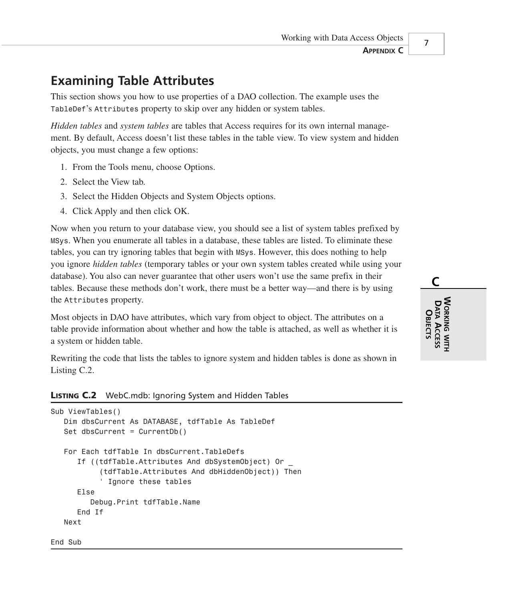## **Examining Table Attributes**

This section shows you how to use properties of a DAO collection. The example uses the *TableDef*'s *Attributes* property to skip over any hidden or system tables.

*Hidden tables* and *system tables* are tables that Access requires for its own internal management. By default, Access doesn't list these tables in the table view. To view system and hidden objects, you must change a few options:

- 1. From the Tools menu, choose Options.
- 2. Select the View tab.
- 3. Select the Hidden Objects and System Objects options.
- 4. Click Apply and then click OK.

Now when you return to your database view, you should see a list of system tables prefixed by *MSys*. When you enumerate all tables in a database, these tables are listed. To eliminate these tables, you can try ignoring tables that begin with *MSys*. However, this does nothing to help you ignore *hidden tables* (temporary tables or your own system tables created while using your database). You also can never guarantee that other users won't use the same prefix in their tables. Because these methods don't work, there must be a better way—and there is by using the *Attributes* property.

Most objects in DAO have attributes, which vary from object to object. The attributes on a table provide information about whether and how the table is attached, as well as whether it is a system or hidden table.

Rewriting the code that lists the tables to ignore system and hidden tables is done as shown in Listing C.2.

```
LISTING C.2 WebC.mdb: Ignoring System and Hidden Tables
```

```
Sub ViewTables()
   Dim dbsCurrent As DATABASE, tdfTable As TableDef
   Set dbsCurrent = CurrentDb()
   For Each tdfTable In dbsCurrent.TableDefs
      If ((tdfTable.Attributes And dbSystemObject) Or _
           (tdfTable.Attributes And dbHiddenObject)) Then
            ' Ignore these tables
      Else
         Debug.Print tdfTable.Name
      End If
   Next
End Sub
```
**C WORKINGMITH DATA ACCESS OBJECTS**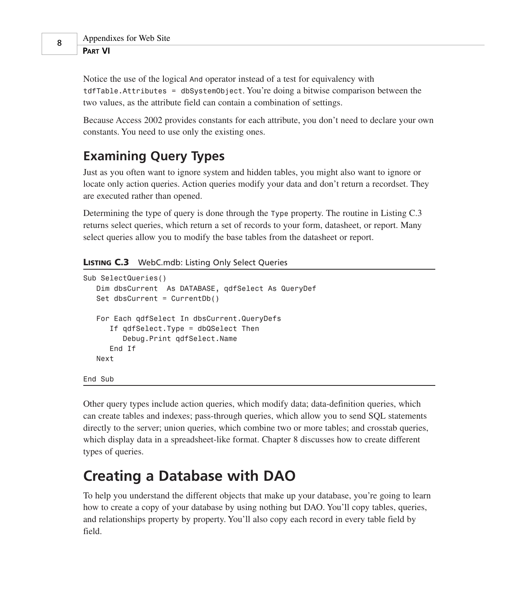Notice the use of the logical *And* operator instead of a test for equivalency with *tdfTable.Attributes = dbSystemObject*. You're doing a bitwise comparison between the two values, as the attribute field can contain a combination of settings.

Because Access 2002 provides constants for each attribute, you don't need to declare your own constants. You need to use only the existing ones.

# **Examining Query Types**

Just as you often want to ignore system and hidden tables, you might also want to ignore or locate only action queries. Action queries modify your data and don't return a recordset. They are executed rather than opened.

Determining the type of query is done through the *Type* property. The routine in Listing C.3 returns select queries, which return a set of records to your form, datasheet, or report. Many select queries allow you to modify the base tables from the datasheet or report.

**LISTING C.3** WebC.mdb: Listing Only Select Queries

```
Sub SelectQueries()
   Dim dbsCurrent As DATABASE, qdfSelect As QueryDef
   Set dbsCurrent = CurrentDb()
   For Each qdfSelect In dbsCurrent.QueryDefs
      If qdfSelect.Type = dbQSelect Then
         Debug.Print qdfSelect.Name
      End If
   Next
```
*End Sub*

Other query types include action queries, which modify data; data-definition queries, which can create tables and indexes; pass-through queries, which allow you to send SQL statements directly to the server; union queries, which combine two or more tables; and crosstab queries, which display data in a spreadsheet-like format. Chapter 8 discusses how to create different types of queries.

# **Creating a Database with DAO**

To help you understand the different objects that make up your database, you're going to learn how to create a copy of your database by using nothing but DAO. You'll copy tables, queries, and relationships property by property. You'll also copy each record in every table field by field.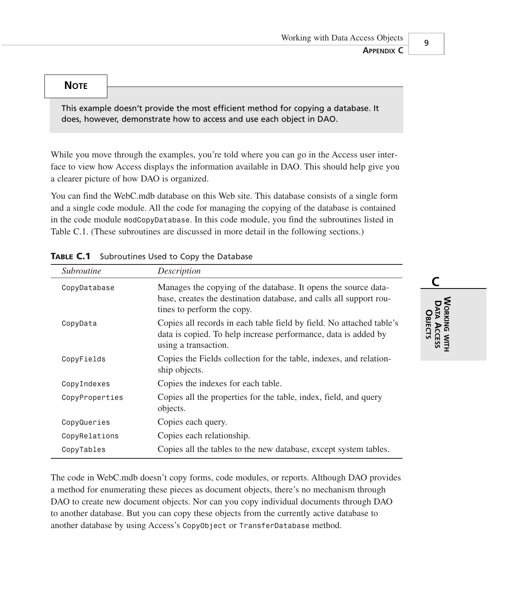## **NOTE**

This example doesn't provide the most efficient method for copying a database. It does, however, demonstrate how to access and use each object in DAO.

While you move through the examples, you're told where you can go in the Access user interface to view how Access displays the information available in DAO. This should help give you a clearer picture of how DAO is organized.

You can find the WebC.mdb database on this Web site. This database consists of a single form and a single code module. All the code for managing the copying of the database is contained in the code module *modCopyDatabase*. In this code module, you find the subroutines listed in Table C.1. (These subroutines are discussed in more detail in the following sections.)

| <i>Subroutine</i> | Description                                                                                                                                                        |
|-------------------|--------------------------------------------------------------------------------------------------------------------------------------------------------------------|
| CopyDatabase      | Manages the copying of the database. It opens the source data-<br>base, creates the destination database, and calls all support rou-<br>tines to perform the copy. |
| CopyData          | Copies all records in each table field by field. No attached table's<br>data is copied. To help increase performance, data is added by<br>using a transaction.     |
| CopyFields        | Copies the Fields collection for the table, indexes, and relation-<br>ship objects.                                                                                |
| CopyIndexes       | Copies the indexes for each table.                                                                                                                                 |
| CopyProperties    | Copies all the properties for the table, index, field, and query<br>objects.                                                                                       |
| CopyQueries       | Copies each query.                                                                                                                                                 |
| CopyRelations     | Copies each relationship.                                                                                                                                          |
| CopyTables        | Copies all the tables to the new database, except system tables.                                                                                                   |

#### **TABLE C.1** Subroutines Used to Copy the Database

The code in WebC.mdb doesn't copy forms, code modules, or reports. Although DAO provides a method for enumerating these pieces as document objects, there's no mechanism through DAO to create new document objects. Nor can you copy individual documents through DAO to another database. But you can copy these objects from the currently active database to another database by using Access's *CopyObject* or *TransferDatabase* method.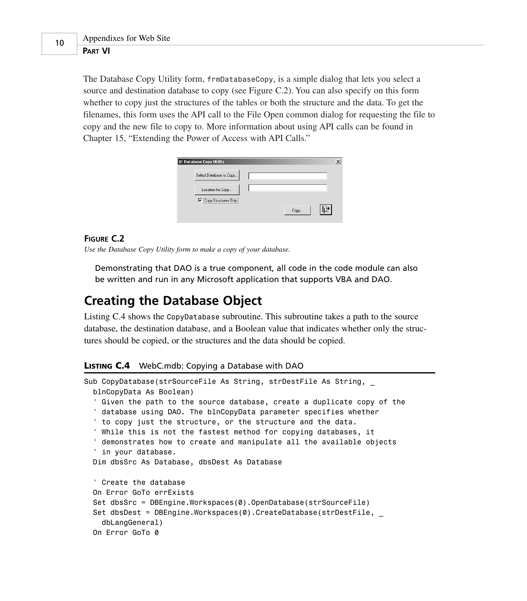The Database Copy Utility form, *frmDatabaseCopy*, is a simple dialog that lets you select a source and destination database to copy (see Figure C.2). You can also specify on this form whether to copy just the structures of the tables or both the structure and the data. To get the filenames, this form uses the API call to the File Open common dialog for requesting the file to copy and the new file to copy to. More information about using API calls can be found in Chapter 15, "Extending the Power of Access with API Calls."

| 图 Database Copy Utility    |      | $\overline{\mathsf{x}}$ |
|----------------------------|------|-------------------------|
| Select Database to Copy    |      |                         |
| Location for Copy          |      |                         |
| Ⅳ Copy Structures Only<br> |      |                         |
|                            | Copy |                         |

#### **FIGURE C.2**

*Use the Database Copy Utility form to make a copy of your database.*

Demonstrating that DAO is a true component, all code in the code module can also be written and run in any Microsoft application that supports VBA and DAO.

## **Creating the Database Object**

Listing C.4 shows the *CopyDatabase* subroutine. This subroutine takes a path to the source database, the destination database, and a Boolean value that indicates whether only the structures should be copied, or the structures and the data should be copied.

#### **LISTING C.4** WebC.mdb: Copying a Database with DAO

```
Sub CopyDatabase(strSourceFile As String, strDestFile As String, _
 blnCopyData As Boolean)
  ' Given the path to the source database, create a duplicate copy of the
  ' database using DAO. The blnCopyData parameter specifies whether
  ' to copy just the structure, or the structure and the data.
  ' While this is not the fastest method for copying databases, it
  ' demonstrates how to create and manipulate all the available objects
  ' in your database.
 Dim dbsSrc As Database, dbsDest As Database
  ' Create the database
 On Error GoTo errExists
  Set dbsSrc = DBEngine.Workspaces(0).OpenDatabase(strSourceFile)
  Set dbsDest = DBEngine.Workspaces(0).CreateDatabase(strDestFile, _
   dbLangGeneral)
 On Error GoTo 0
```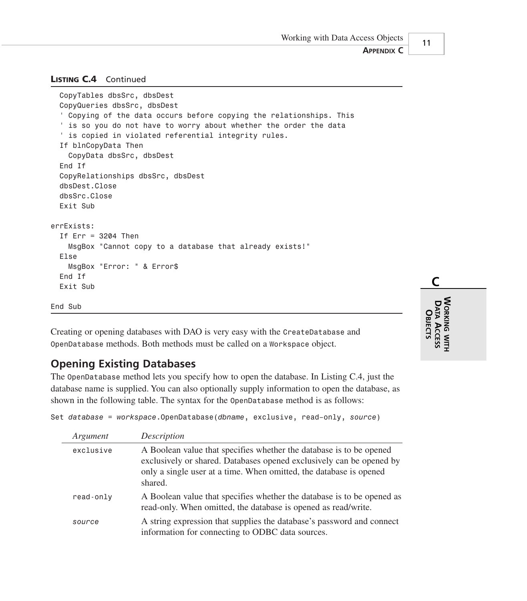#### **LISTING C.4** Continued

```
CopyTables dbsSrc, dbsDest
  CopyQueries dbsSrc, dbsDest
  ' Copying of the data occurs before copying the relationships. This
  ' is so you do not have to worry about whether the order the data
  ' is copied in violated referential integrity rules.
  If blnCopyData Then
    CopyData dbsSrc, dbsDest
  End If
  CopyRelationships dbsSrc, dbsDest
  dbsDest.Close
  dbsSrc.Close
  Exit Sub
errExists:
  If Err = 3204 Then
   MsgBox "Cannot copy to a database that already exists!"
  Else
    MsgBox "Error: " & Error$
  End If
  Exit Sub
End Sub
```
Creating or opening databases with DAO is very easy with the *CreateDatabase* and *OpenDatabase* methods. Both methods must be called on a *Workspace* object.

## **Opening Existing Databases**

The *OpenDatabase* method lets you specify how to open the database. In Listing C.4, just the database name is supplied. You can also optionally supply information to open the database, as shown in the following table. The syntax for the *OpenDatabase* method is as follows:

*Set database = workspace.OpenDatabase(dbname, exclusive, read–only, source)*

| Argument  | Description                                                                                                                                                                                                                  |
|-----------|------------------------------------------------------------------------------------------------------------------------------------------------------------------------------------------------------------------------------|
| exclusive | A Boolean value that specifies whether the database is to be opened<br>exclusively or shared. Databases opened exclusively can be opened by<br>only a single user at a time. When omitted, the database is opened<br>shared. |
| read-only | A Boolean value that specifies whether the database is to be opened as<br>read-only. When omitted, the database is opened as read/write.                                                                                     |
| source    | A string expression that supplies the database's password and connect<br>information for connecting to ODBC data sources.                                                                                                    |

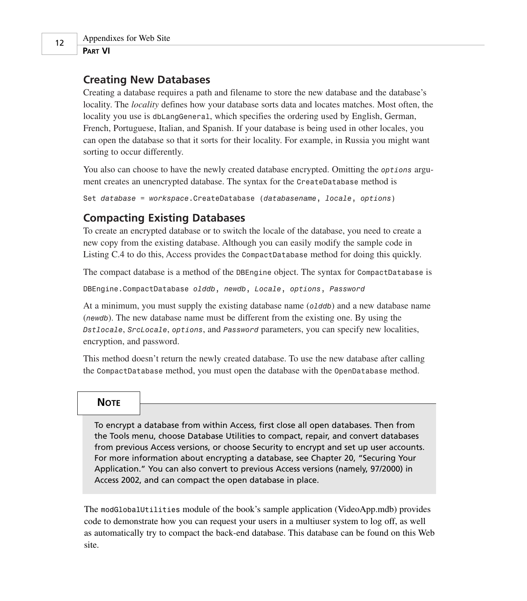## **Creating New Databases**

Creating a database requires a path and filename to store the new database and the database's locality. The *locality* defines how your database sorts data and locates matches. Most often, the locality you use is *dbLangGeneral*, which specifies the ordering used by English, German, French, Portuguese, Italian, and Spanish. If your database is being used in other locales, you can open the database so that it sorts for their locality. For example, in Russia you might want sorting to occur differently.

You also can choose to have the newly created database encrypted. Omitting the *options* argument creates an unencrypted database. The syntax for the *CreateDatabase* method is

*Set database = workspace.CreateDatabase (databasename, locale, options)*

## **Compacting Existing Databases**

To create an encrypted database or to switch the locale of the database, you need to create a new copy from the existing database. Although you can easily modify the sample code in Listing C.4 to do this, Access provides the *CompactDatabase* method for doing this quickly.

The compact database is a method of the *DBEngine* object. The syntax for *CompactDatabase* is

*DBEngine.CompactDatabase olddb, newdb, Locale, options, Password*

At a minimum, you must supply the existing database name (*olddb*) and a new database name (*newdb*). The new database name must be different from the existing one. By using the *Dstlocale*, *SrcLocale*, *options*, and *Password* parameters, you can specify new localities, encryption, and password.

This method doesn't return the newly created database. To use the new database after calling the *CompactDatabase* method, you must open the database with the *OpenDatabase* method.

## **NOTE**

To encrypt a database from within Access, first close all open databases. Then from the Tools menu, choose Database Utilities to compact, repair, and convert databases from previous Access versions, or choose Security to encrypt and set up user accounts. For more information about encrypting a database, see Chapter 20, "Securing Your Application." You can also convert to previous Access versions (namely, 97/2000) in Access 2002, and can compact the open database in place.

The *modGlobalUtilities* module of the book's sample application (VideoApp.mdb) provides code to demonstrate how you can request your users in a multiuser system to log off, as well as automatically try to compact the back-end database. This database can be found on this Web site.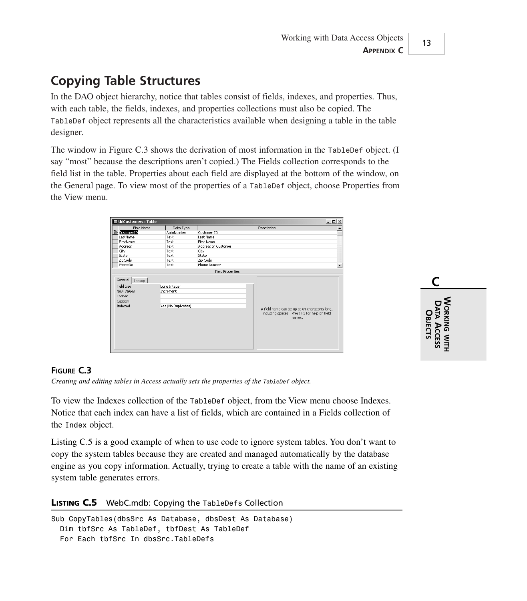## **Copying Table Structures**

In the DAO object hierarchy, notice that tables consist of fields, indexes, and properties. Thus, with each table, the fields, indexes, and properties collections must also be copied. The *TableDef* object represents all the characteristics available when designing a table in the table designer.

The window in Figure C.3 shows the derivation of most information in the *TableDef* object. (I say "most" because the descriptions aren't copied.) The Fields collection corresponds to the field list in the table. Properties about each field are displayed at the bottom of the window, on the General page. To view most of the properties of a *TableDef* object, choose Properties from the View menu.

| <b>Ⅲ tblCustomers: Table</b>                                        |            |                                                  |                         |                                                                                                         | $ \Box$ $\times$ |
|---------------------------------------------------------------------|------------|--------------------------------------------------|-------------------------|---------------------------------------------------------------------------------------------------------|------------------|
|                                                                     | Field Name | Data Type                                        |                         | Description                                                                                             | $\blacktriangle$ |
| <b>B</b><br>CustomerID                                              |            | AutoNumber                                       | Customer ID             |                                                                                                         |                  |
| LastName                                                            |            | Text                                             | Last Name               |                                                                                                         |                  |
| FirstName                                                           |            | Text                                             | First Name              |                                                                                                         |                  |
| Address                                                             |            | Text                                             | Address of Customer     |                                                                                                         |                  |
| City                                                                |            | Text                                             | City                    |                                                                                                         |                  |
| State                                                               |            | Text                                             | State                   |                                                                                                         |                  |
| ZipCode                                                             |            | Text                                             | Zip Code                |                                                                                                         |                  |
| PhoneNo                                                             |            | Text                                             | Phone Number            |                                                                                                         |                  |
|                                                                     |            |                                                  | <b>Field Properties</b> |                                                                                                         |                  |
| General<br>Field Size<br>New Values<br>Format<br>Caption<br>Indexed | Lookup     | Long Integer<br>Increment<br>Yes (No Duplicates) |                         | A field name can be up to 64 characters long,<br>including spaces. Press F1 for help on field<br>names. |                  |



#### **FIGURE C.3**

*Creating and editing tables in Access actually sets the properties of the TableDef object.*

To view the Indexes collection of the *TableDef* object, from the View menu choose Indexes. Notice that each index can have a list of fields, which are contained in a Fields collection of the *Index* object.

Listing C.5 is a good example of when to use code to ignore system tables. You don't want to copy the system tables because they are created and managed automatically by the database engine as you copy information. Actually, trying to create a table with the name of an existing system table generates errors.

**LISTING C.5** WebC.mdb: Copying the *TableDefs* Collection

```
Sub CopyTables(dbsSrc As Database, dbsDest As Database)
  Dim tbfSrc As TableDef, tbfDest As TableDef
  For Each tbfSrc In dbsSrc.TableDefs
```
13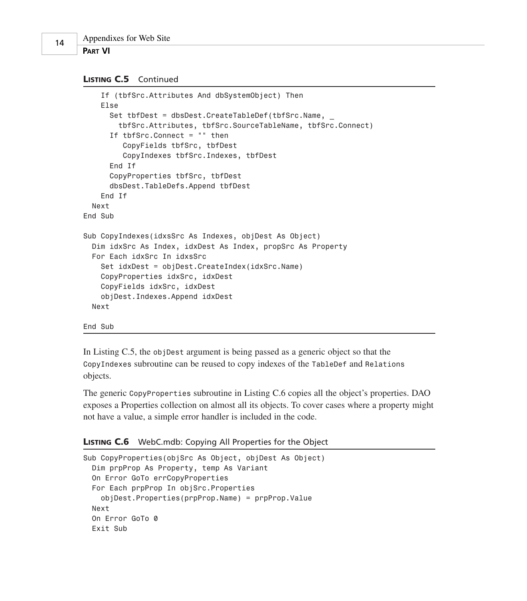#### **LISTING C.5** Continued

```
If (tbfSrc.Attributes And dbSystemObject) Then
    Else
      Set tbfDest = dbsDest.CreateTableDef(tbfSrc.Name, _
        tbfSrc.Attributes, tbfSrc.SourceTableName, tbfSrc.Connect)
      If tbfSrc.Connect = "" then
         CopyFields tbfSrc, tbfDest
         CopyIndexes tbfSrc.Indexes, tbfDest
      End If
      CopyProperties tbfSrc, tbfDest
      dbsDest.TableDefs.Append tbfDest
    End If
  Next
End Sub
Sub CopyIndexes(idxsSrc As Indexes, objDest As Object)
  Dim idxSrc As Index, idxDest As Index, propSrc As Property
  For Each idxSrc In idxsSrc
    Set idxDest = objDest.CreateIndex(idxSrc.Name)
    CopyProperties idxSrc, idxDest
    CopyFields idxSrc, idxDest
    objDest.Indexes.Append idxDest
  Next
```
*End Sub*

In Listing C.5, the *objDest* argument is being passed as a generic object so that the *CopyIndexes* subroutine can be reused to copy indexes of the *TableDef* and *Relations* objects.

The generic *CopyProperties* subroutine in Listing C.6 copies all the object's properties. DAO exposes a Properties collection on almost all its objects. To cover cases where a property might not have a value, a simple error handler is included in the code.

```
LISTING C.6 WebC.mdb: Copying All Properties for the Object
```

```
Sub CopyProperties(objSrc As Object, objDest As Object)
 Dim prpProp As Property, temp As Variant
 On Error GoTo errCopyProperties
 For Each prpProp In objSrc.Properties
   objDest.Properties(prpProp.Name) = prpProp.Value
 Next
 On Error GoTo 0
 Exit Sub
```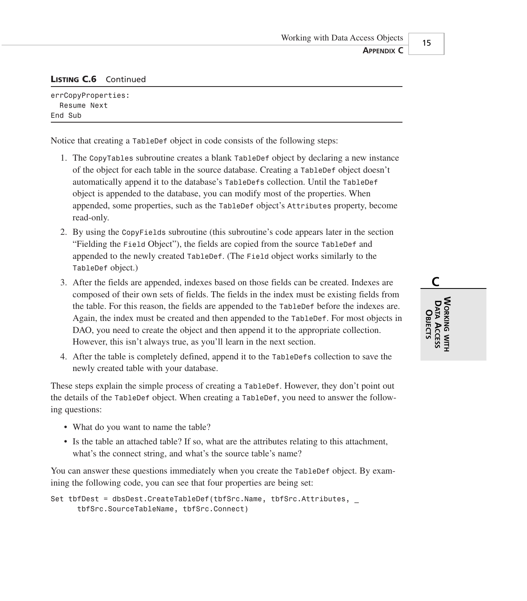## **LISTING C.6** Continued

*errCopyProperties: Resume Next End Sub*

Notice that creating a *TableDef* object in code consists of the following steps:

- 1. The *CopyTables* subroutine creates a blank *TableDef* object by declaring a new instance of the object for each table in the source database. Creating a *TableDef* object doesn't automatically append it to the database's *TableDefs* collection. Until the *TableDef* object is appended to the database, you can modify most of the properties. When appended, some properties, such as the *TableDef* object's *Attributes* property, become read-only.
- 2. By using the *CopyFields* subroutine (this subroutine's code appears later in the section "Fielding the *Field* Object"), the fields are copied from the source *TableDef* and appended to the newly created *TableDef*. (The *Field* object works similarly to the *TableDef* object.)
- 3. After the fields are appended, indexes based on those fields can be created. Indexes are composed of their own sets of fields. The fields in the index must be existing fields from the table. For this reason, the fields are appended to the *TableDef* before the indexes are. Again, the index must be created and then appended to the *TableDef*. For most objects in DAO, you need to create the object and then append it to the appropriate collection. However, this isn't always true, as you'll learn in the next section.
- 4. After the table is completely defined, append it to the *TableDefs* collection to save the newly created table with your database.

These steps explain the simple process of creating a *TableDef*. However, they don't point out the details of the *TableDef* object. When creating a *TableDef*, you need to answer the following questions:

- What do you want to name the table?
- Is the table an attached table? If so, what are the attributes relating to this attachment, what's the connect string, and what's the source table's name?

You can answer these questions immediately when you create the *TableDef* object. By examining the following code, you can see that four properties are being set:

```
Set tbfDest = dbsDest.CreateTableDef(tbfSrc.Name, tbfSrc.Attributes, _
      tbfSrc.SourceTableName, tbfSrc.Connect)
```
**C WORKINGMITH DATA ACCESS OBJECTS**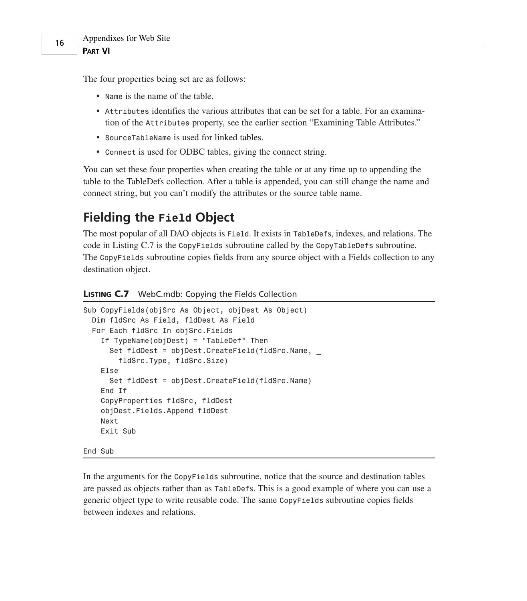The four properties being set are as follows:

- *Name* is the name of the table.
- *Attributes* identifies the various attributes that can be set for a table. For an examination of the *Attributes* property, see the earlier section "Examining Table Attributes."
- *SourceTableName* is used for linked tables.
- *Connect* is used for ODBC tables, giving the connect string.

You can set these four properties when creating the table or at any time up to appending the table to the TableDefs collection. After a table is appended, you can still change the name and connect string, but you can't modify the attributes or the source table name.

## **Fielding the** *Field* **Object**

The most popular of all DAO objects is *Field*. It exists in *TableDef*s, indexes, and relations. The code in Listing C.7 is the *CopyFields* subroutine called by the *CopyTableDefs* subroutine. The *CopyFields* subroutine copies fields from any source object with a Fields collection to any destination object.

**LISTING C.7** WebC.mdb: Copying the Fields Collection

```
Sub CopyFields(objSrc As Object, objDest As Object)
 Dim fldSrc As Field, fldDest As Field
 For Each fldSrc In objSrc.Fields
   If TypeName(objDest) = "TableDef" Then
      Set fldDest = objDest.CreateField(fldSrc.Name, _
        fldSrc.Type, fldSrc.Size)
   Else
      Set fldDest = objDest.CreateField(fldSrc.Name)
   End If
   CopyProperties fldSrc, fldDest
   objDest.Fields.Append fldDest
   Next
   Exit Sub
End Sub
```
In the arguments for the *CopyFields* subroutine, notice that the source and destination tables are passed as objects rather than as *TableDef*s. This is a good example of where you can use a generic object type to write reusable code. The same *CopyFields* subroutine copies fields between indexes and relations.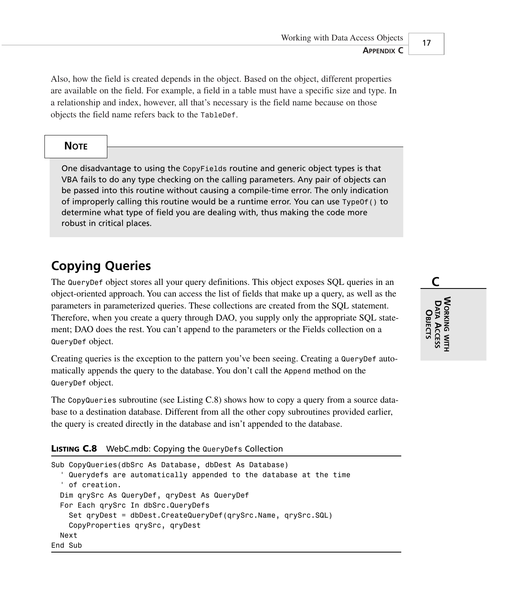Also, how the field is created depends in the object. Based on the object, different properties are available on the field. For example, a field in a table must have a specific size and type. In a relationship and index, however, all that's necessary is the field name because on those objects the field name refers back to the *TableDef*.

**NOTE**

One disadvantage to using the *CopyFields* routine and generic object types is that VBA fails to do any type checking on the calling parameters. Any pair of objects can be passed into this routine without causing a compile-time error. The only indication of improperly calling this routine would be a runtime error. You can use *TypeOf()* to determine what type of field you are dealing with, thus making the code more robust in critical places.

# **Copying Queries**

The *QueryDef* object stores all your query definitions. This object exposes SQL queries in an object-oriented approach. You can access the list of fields that make up a query, as well as the parameters in parameterized queries. These collections are created from the SQL statement. Therefore, when you create a query through DAO, you supply only the appropriate SQL statement; DAO does the rest. You can't append to the parameters or the Fields collection on a *QueryDef* object.

Creating queries is the exception to the pattern you've been seeing. Creating a *QueryDef* automatically appends the query to the database. You don't call the *Append* method on the *QueryDef* object.

The *CopyQueries* subroutine (see Listing C.8) shows how to copy a query from a source database to a destination database. Different from all the other copy subroutines provided earlier, the query is created directly in the database and isn't appended to the database.

**LISTING C.8** WebC.mdb: Copying the *QueryDefs* Collection

```
Sub CopyQueries(dbSrc As Database, dbDest As Database)
  ' Querydefs are automatically appended to the database at the time
  ' of creation.
  Dim qrySrc As QueryDef, qryDest As QueryDef
  For Each qrySrc In dbSrc.QueryDefs
    Set qryDest = dbDest.CreateQueryDef(qrySrc.Name, qrySrc.SQL)
    CopyProperties qrySrc, qryDest
  Next
End Sub
```
**C WORKINGMITH DATA ACCESS OBJECTS**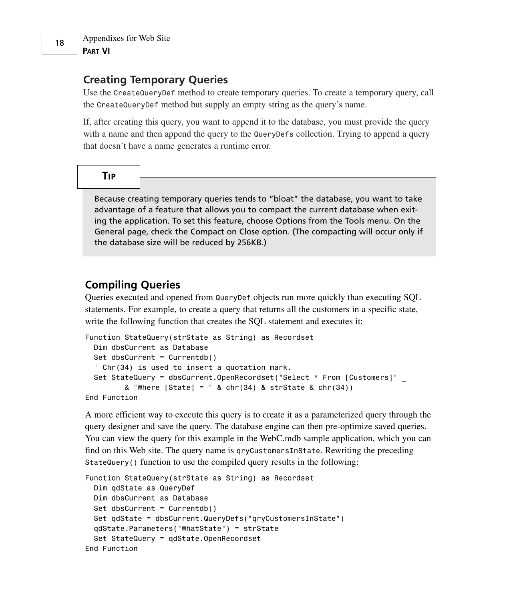## **Creating Temporary Queries**

Use the *CreateQueryDef* method to create temporary queries. To create a temporary query, call the *CreateQueryDef* method but supply an empty string as the query's name.

If, after creating this query, you want to append it to the database, you must provide the query with a name and then append the query to the *QueryDefs* collection. Trying to append a query that doesn't have a name generates a runtime error.

**TIP**

Because creating temporary queries tends to "bloat" the database, you want to take advantage of a feature that allows you to compact the current database when exiting the application. To set this feature, choose Options from the Tools menu. On the General page, check the Compact on Close option. (The compacting will occur only if the database size will be reduced by 256KB.)

## **Compiling Queries**

Queries executed and opened from *QueryDef* objects run more quickly than executing SQL statements. For example, to create a query that returns all the customers in a specific state, write the following function that creates the SQL statement and executes it:

```
Function StateQuery(strState as String) as Recordset
  Dim dbsCurrent as Database
  Set dbsCurrent = Currentdb()
  ' Chr(34) is used to insert a quotation mark.
  Set StateQuery = dbsCurrent.OpenRecordset("Select * From [Customers]" _
         & "Where [State] = " & chr(34) & strState & chr(34))
End Function
```
A more efficient way to execute this query is to create it as a parameterized query through the query designer and save the query. The database engine can then pre-optimize saved queries. You can view the query for this example in the WebC.mdb sample application, which you can find on this Web site. The query name is *qryCustomersInState*. Rewriting the preceding *StateQuery()* function to use the compiled query results in the following:

```
Function StateQuery(strState as String) as Recordset
  Dim qdState as QueryDef
  Dim dbsCurrent as Database
  Set dbsCurrent = Currentdb()
  Set qdState = dbsCurrent.QueryDefs("qryCustomersInState")
  qdState.Parameters("WhatState") = strState
  Set StateQuery = qdState.OpenRecordset
End Function
```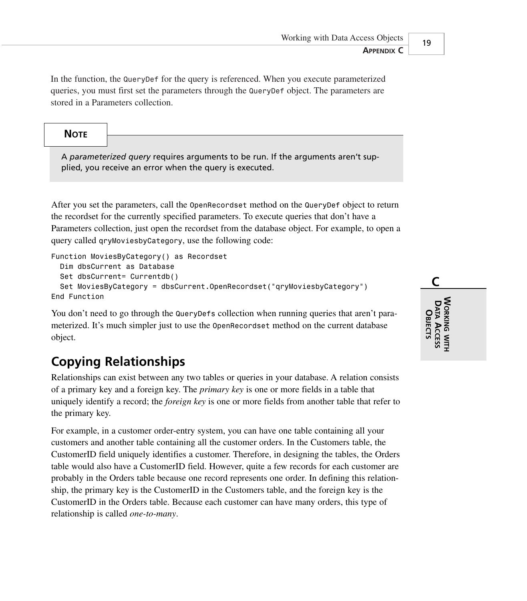In the function, the *QueryDef* for the query is referenced. When you execute parameterized queries, you must first set the parameters through the *QueryDef* object. The parameters are stored in a Parameters collection.

#### **NOTE**

A *parameterized query* requires arguments to be run. If the arguments aren't supplied, you receive an error when the query is executed.

After you set the parameters, call the *OpenRecordset* method on the *QueryDef* object to return the recordset for the currently specified parameters. To execute queries that don't have a Parameters collection, just open the recordset from the database object. For example, to open a query called *qryMoviesbyCategory*, use the following code:

```
Function MoviesByCategory() as Recordset
  Dim dbsCurrent as Database
  Set dbsCurrent= Currentdb()
  Set MoviesByCategory = dbsCurrent.OpenRecordset("qryMoviesbyCategory")
End Function
```
You don't need to go through the *QueryDefs* collection when running queries that aren't parameterized. It's much simpler just to use the *OpenRecordset* method on the current database object.

# **Copying Relationships**

Relationships can exist between any two tables or queries in your database. A relation consists of a primary key and a foreign key. The *primary key* is one or more fields in a table that uniquely identify a record; the *foreign key* is one or more fields from another table that refer to the primary key.

For example, in a customer order-entry system, you can have one table containing all your customers and another table containing all the customer orders. In the Customers table, the CustomerID field uniquely identifies a customer. Therefore, in designing the tables, the Orders table would also have a CustomerID field. However, quite a few records for each customer are probably in the Orders table because one record represents one order. In defining this relationship, the primary key is the CustomerID in the Customers table, and the foreign key is the CustomerID in the Orders table. Because each customer can have many orders, this type of relationship is called *one-to-many*.

**C WORKINGMITH DATA ACCESS OBJECTS**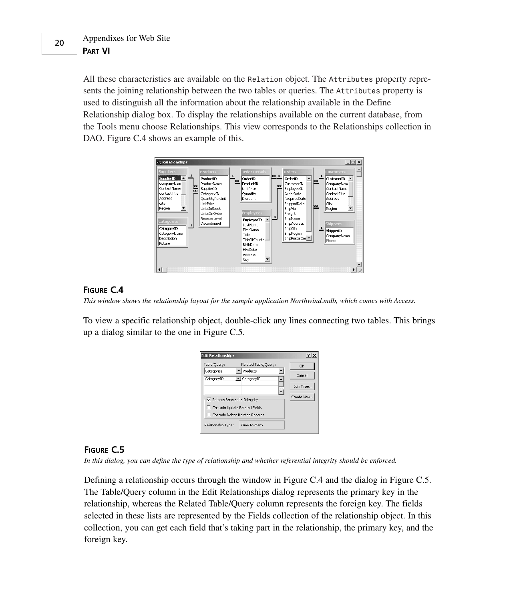All these characteristics are available on the *Relation* object. The *Attributes* property represents the joining relationship between the two tables or queries. The *Attributes* property is used to distinguish all the information about the relationship available in the Define Relationship dialog box. To display the relationships available on the current database, from the Tools menu choose Relationships. This view corresponds to the Relationships collection in DAO. Figure C.4 shows an example of this.



#### **FIGURE C.4**

*This window shows the relationship layout for the sample application Northwind.mdb, which comes with Access.*

To view a specific relationship object, double-click any lines connecting two tables. This brings up a dialog similar to the one in Figure C.5.

| <b>Edit Relationships</b>                                       |                                  | $\overline{\mathbf{r}}$ |
|-----------------------------------------------------------------|----------------------------------|-------------------------|
| Table/Query:<br>Categories                                      | Related Table/Query:<br>Products | OK                      |
| CategoryID                                                      | CategoryID                       | Cancel<br>Join Type     |
| Enforce Referential Integrity                                   |                                  | Create New              |
| Cascade Update Related Fields<br>Cascade Delete Related Records |                                  |                         |
| Relationship Type:                                              | One-To-Many                      |                         |

#### **FIGURE C.5**

*In this dialog, you can define the type of relationship and whether referential integrity should be enforced.*

Defining a relationship occurs through the window in Figure C.4 and the dialog in Figure C.5. The Table/Query column in the Edit Relationships dialog represents the primary key in the relationship, whereas the Related Table/Query column represents the foreign key. The fields selected in these lists are represented by the Fields collection of the relationship object. In this collection, you can get each field that's taking part in the relationship, the primary key, and the foreign key.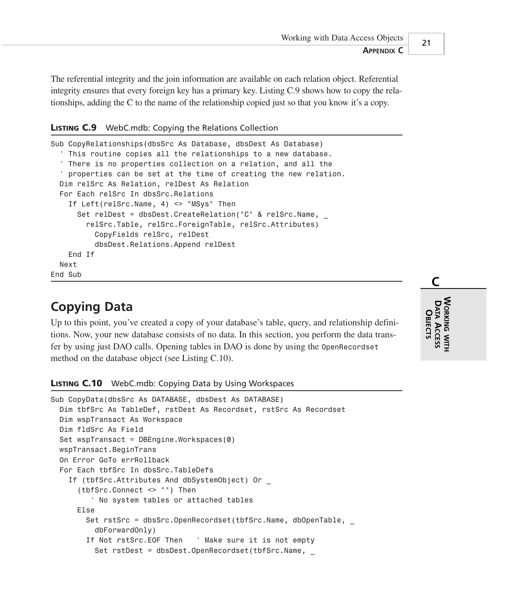The referential integrity and the join information are available on each relation object. Referential integrity ensures that every foreign key has a primary key. Listing C.9 shows how to copy the relationships, adding the C to the name of the relationship copied just so that you know it's a copy.

```
LISTING C.9 WebC.mdb: Copying the Relations Collection
```

```
Sub CopyRelationships(dbsSrc As Database, dbsDest As Database)
  ' This routine copies all the relationships to a new database.
  ' There is no properties collection on a relation, and all the
  ' properties can be set at the time of creating the new relation.
  Dim relSrc As Relation, relDest As Relation
  For Each relSrc In dbsSrc.Relations
    If Left(relSrc.Name, 4) <> "MSys" Then
      Set relDest = dbsDest.CreateRelation("C" & relSrc.Name, _
        relSrc.Table, relSrc.ForeignTable, relSrc.Attributes)
          CopyFields relSrc, relDest
          dbsDest.Relations.Append relDest
    End If
  Next
End Sub
```
# **Copying Data**

Up to this point, you've created a copy of your database's table, query, and relationship definitions. Now, your new database consists of no data. In this section, you perform the data transfer by using just DAO calls. Opening tables in DAO is done by using the *OpenRecordset* method on the database object (see Listing C.10).

```
LISTING C.10 WebC.mdb: Copying Data by Using Workspaces
```

```
Sub CopyData(dbsSrc As DATABASE, dbsDest As DATABASE)
  Dim tbfSrc As TableDef, rstDest As Recordset, rstSrc As Recordset
  Dim wspTransact As Workspace
  Dim fldSrc As Field
  Set wspTransact = DBEngine.Workspaces(0)
  wspTransact.BeginTrans
  On Error GoTo errRollback
  For Each tbfSrc In dbsSrc.TableDefs
    If (tbfSrc.Attributes And dbSystemObject) Or _
      (tbfSrc.Connect <> "") Then
         ' No system tables or attached tables
      Else
        Set rstSrc = dbsSrc.OpenRecordset(tbfSrc.Name, dbOpenTable, _
          dbForwardOnly)
        If Not rstSrc.EOF Then ' Make sure it is not empty
          Set rstDest = dbsDest.OpenRecordset(tbfSrc.Name, _
```

```
WORKINGMITH
         DATA
         ACCESS
OBJECTS
```
**C**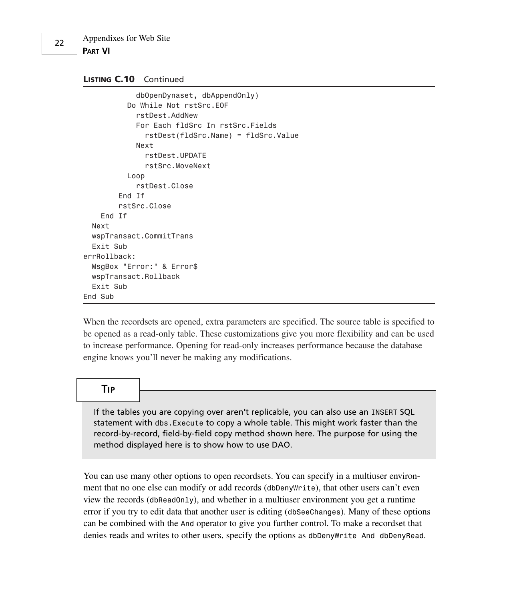#### **LISTING C.10** Continued

```
dbOpenDynaset, dbAppendOnly)
          Do While Not rstSrc.EOF
            rstDest.AddNew
            For Each fldSrc In rstSrc.Fields
              rstDest(fldSrc.Name) = fldSrc.Value
            Next
              rstDest.UPDATE
              rstSrc.MoveNext
          Loop
            rstDest.Close
        End If
        rstSrc.Close
    End If
 Next
 wspTransact.CommitTrans
 Exit Sub
errRollback:
 MsgBox "Error:" & Error$
 wspTransact.Rollback
 Exit Sub
End Sub
```
When the recordsets are opened, extra parameters are specified. The source table is specified to be opened as a read-only table. These customizations give you more flexibility and can be used to increase performance. Opening for read-only increases performance because the database engine knows you'll never be making any modifications.

## **TIP**

If the tables you are copying over aren't replicable, you can also use an *INSERT* SQL statement with *dbs.Execute* to copy a whole table. This might work faster than the record-by-record, field-by-field copy method shown here. The purpose for using the method displayed here is to show how to use DAO.

You can use many other options to open recordsets. You can specify in a multiuser environment that no one else can modify or add records (*dbDenyWrite*), that other users can't even view the records (*dbReadOnly*), and whether in a multiuser environment you get a runtime error if you try to edit data that another user is editing (*dbSeeChanges*). Many of these options can be combined with the *And* operator to give you further control. To make a recordset that denies reads and writes to other users, specify the options as *dbDenyWrite And dbDenyRead*.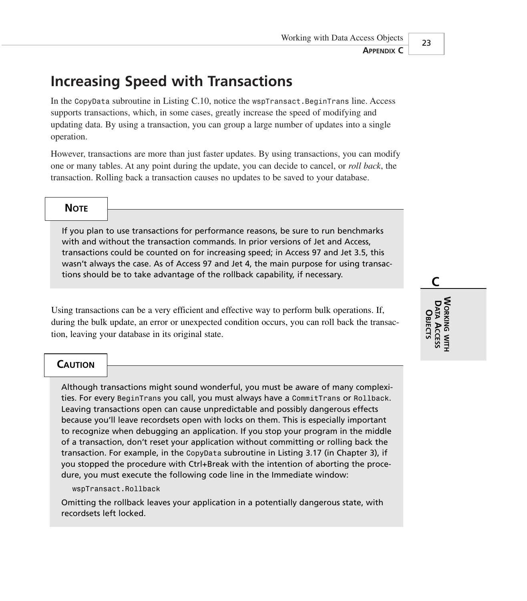# **Increasing Speed with Transactions**

In the *CopyData* subroutine in Listing C.10, notice the *wspTransact.BeginTrans* line. Access supports transactions, which, in some cases, greatly increase the speed of modifying and updating data. By using a transaction, you can group a large number of updates into a single operation.

However, transactions are more than just faster updates. By using transactions, you can modify one or many tables. At any point during the update, you can decide to cancel, or *roll back*, the transaction. Rolling back a transaction causes no updates to be saved to your database.

#### **NOTE**

If you plan to use transactions for performance reasons, be sure to run benchmarks with and without the transaction commands. In prior versions of Jet and Access, transactions could be counted on for increasing speed; in Access 97 and Jet 3.5, this wasn't always the case. As of Access 97 and Jet 4, the main purpose for using transactions should be to take advantage of the rollback capability, if necessary.

Using transactions can be a very efficient and effective way to perform bulk operations. If, during the bulk update, an error or unexpected condition occurs, you can roll back the transaction, leaving your database in its original state.

#### **CAUTION**

Although transactions might sound wonderful, you must be aware of many complexities. For every *BeginTrans* you call, you must always have a *CommitTrans* or *Rollback*. Leaving transactions open can cause unpredictable and possibly dangerous effects because you'll leave recordsets open with locks on them. This is especially important to recognize when debugging an application. If you stop your program in the middle of a transaction, don't reset your application without committing or rolling back the transaction. For example, in the *CopyData* subroutine in Listing 3.17 (in Chapter 3), if you stopped the procedure with Ctrl+Break with the intention of aborting the procedure, you must execute the following code line in the Immediate window:

#### *wspTransact.Rollback*

Omitting the rollback leaves your application in a potentially dangerous state, with recordsets left locked.

**WORKINGMITH DATA ACCESS OBJECTS**

**C**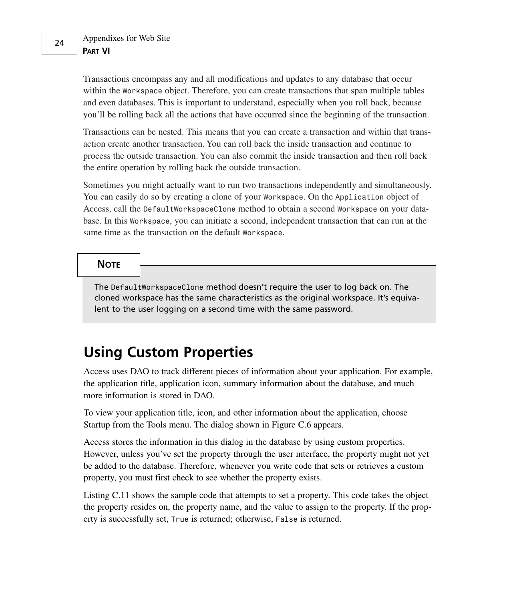Transactions encompass any and all modifications and updates to any database that occur within the *Workspace* object. Therefore, you can create transactions that span multiple tables and even databases. This is important to understand, especially when you roll back, because you'll be rolling back all the actions that have occurred since the beginning of the transaction.

Transactions can be nested. This means that you can create a transaction and within that transaction create another transaction. You can roll back the inside transaction and continue to process the outside transaction. You can also commit the inside transaction and then roll back the entire operation by rolling back the outside transaction.

Sometimes you might actually want to run two transactions independently and simultaneously. You can easily do so by creating a clone of your *Workspace*. On the *Application* object of Access, call the *DefaultWorkspaceClone* method to obtain a second *Workspace* on your database. In this *Workspace*, you can initiate a second, independent transaction that can run at the same time as the transaction on the default *Workspace*.

**NOTE**

The *DefaultWorkspaceClone* method doesn't require the user to log back on. The cloned workspace has the same characteristics as the original workspace. It's equivalent to the user logging on a second time with the same password.

# **Using Custom Properties**

Access uses DAO to track different pieces of information about your application. For example, the application title, application icon, summary information about the database, and much more information is stored in DAO.

To view your application title, icon, and other information about the application, choose Startup from the Tools menu. The dialog shown in Figure C.6 appears.

Access stores the information in this dialog in the database by using custom properties. However, unless you've set the property through the user interface, the property might not yet be added to the database. Therefore, whenever you write code that sets or retrieves a custom property, you must first check to see whether the property exists.

Listing C.11 shows the sample code that attempts to set a property. This code takes the object the property resides on, the property name, and the value to assign to the property. If the property is successfully set, *True* is returned; otherwise, *False* is returned.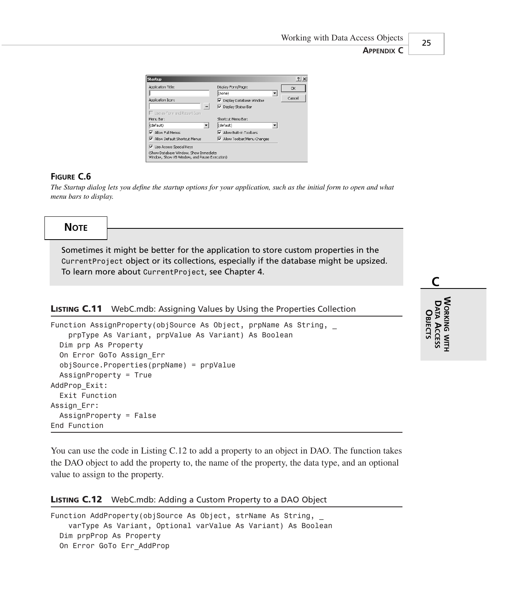25



#### **FIGURE C.6**

*The Startup dialog lets you define the startup options for your application, such as the initial form to open and what menu bars to display.*

#### **NOTE**

Sometimes it might be better for the application to store custom properties in the *CurrentProject* object or its collections, especially if the database might be upsized. To learn more about *CurrentProject*, see Chapter 4.

**LISTING C.11** WebC.mdb: Assigning Values by Using the Properties Collection

```
Function AssignProperty(objSource As Object, prpName As String, _
    prpType As Variant, prpValue As Variant) As Boolean
  Dim prp As Property
  On Error GoTo Assign_Err
  objSource.Properties(prpName) = prpValue
  AssignProperty = True
AddProp_Exit:
  Exit Function
Assign_Err:
  AssignProperty = False
End Function
```
You can use the code in Listing C.12 to add a property to an object in DAO. The function takes the DAO object to add the property to, the name of the property, the data type, and an optional value to assign to the property.

#### **LISTING C.12** WebC.mdb: Adding a Custom Property to a DAO Object

```
Function AddProperty(objSource As Object, strName As String, _
    varType As Variant, Optional varValue As Variant) As Boolean
  Dim prpProp As Property
  On Error GoTo Err_AddProp
```
**C WORKINGMITH DATA ACCESS OBJECTS**